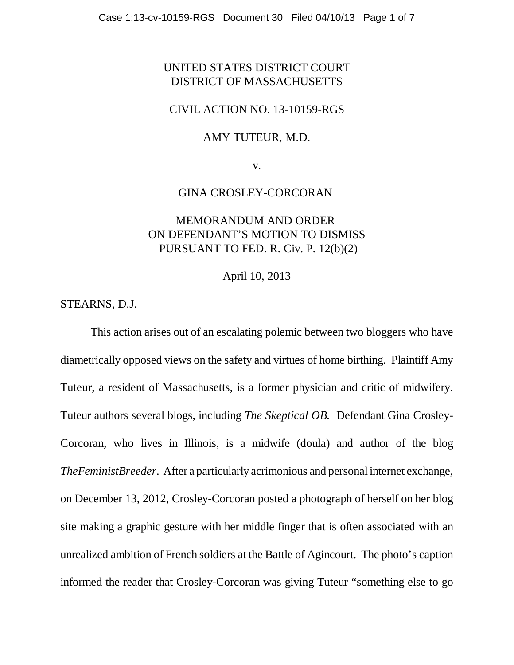## UNITED STATES DISTRICT COURT DISTRICT OF MASSACHUSETTS

### CIVIL ACTION NO. 13-10159-RGS

### AMY TUTEUR, M.D.

v.

## GINA CROSLEY-CORCORAN

# MEMORANDUM AND ORDER ON DEFENDANT'S MOTION TO DISMISS PURSUANT TO FED. R. Civ. P. 12(b)(2)

April 10, 2013

STEARNS, D.J.

This action arises out of an escalating polemic between two bloggers who have diametrically opposed views on the safety and virtues of home birthing. Plaintiff Amy Tuteur, a resident of Massachusetts, is a former physician and critic of midwifery. Tuteur authors several blogs, including *The Skeptical OB.* Defendant Gina Crosley-Corcoran, who lives in Illinois, is a midwife (doula) and author of the blog *TheFeministBreeder*. After a particularly acrimonious and personal internet exchange, on December 13, 2012, Crosley-Corcoran posted a photograph of herself on her blog site making a graphic gesture with her middle finger that is often associated with an unrealized ambition of French soldiers at the Battle of Agincourt. The photo's caption informed the reader that Crosley-Corcoran was giving Tuteur "something else to go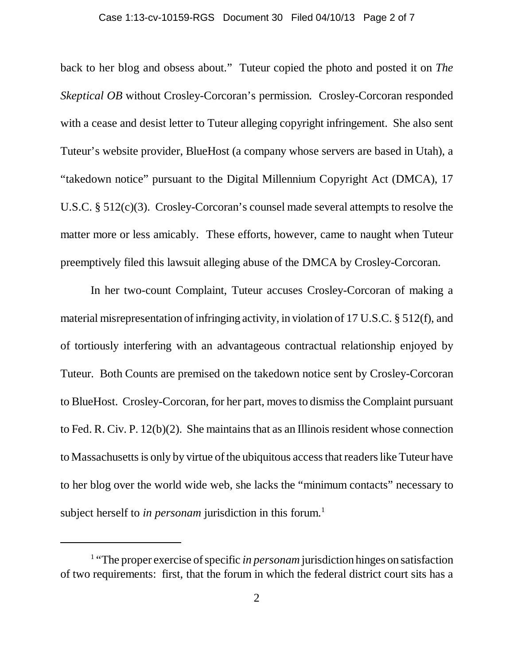#### Case 1:13-cv-10159-RGS Document 30 Filed 04/10/13 Page 2 of 7

back to her blog and obsess about." Tuteur copied the photo and posted it on *The Skeptical OB* without Crosley-Corcoran's permission*.* Crosley-Corcoran responded with a cease and desist letter to Tuteur alleging copyright infringement. She also sent Tuteur's website provider, BlueHost (a company whose servers are based in Utah), a "takedown notice" pursuant to the Digital Millennium Copyright Act (DMCA), 17 U.S.C. § 512(c)(3). Crosley-Corcoran's counsel made several attempts to resolve the matter more or less amicably. These efforts, however, came to naught when Tuteur preemptively filed this lawsuit alleging abuse of the DMCA by Crosley-Corcoran.

In her two-count Complaint, Tuteur accuses Crosley-Corcoran of making a material misrepresentation of infringing activity, in violation of 17 U.S.C. § 512(f), and of tortiously interfering with an advantageous contractual relationship enjoyed by Tuteur. Both Counts are premised on the takedown notice sent by Crosley-Corcoran to BlueHost. Crosley-Corcoran, for her part, moves to dismiss the Complaint pursuant to Fed. R. Civ. P. 12(b)(2). She maintains that as an Illinois resident whose connection to Massachusetts is only by virtue of the ubiquitous access that readers like Tuteur have to her blog over the world wide web, she lacks the "minimum contacts" necessary to subject herself to *in personam* jurisdiction in this forum.<sup>1</sup>

<sup>&</sup>lt;sup>1</sup> "The proper exercise of specific *in personam* jurisdiction hinges on satisfaction of two requirements: first, that the forum in which the federal district court sits has a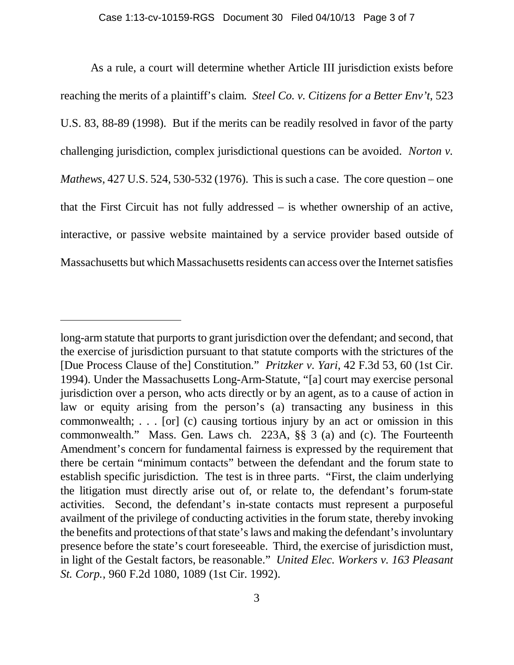As a rule, a court will determine whether Article III jurisdiction exists before reaching the merits of a plaintiff's claim. *Steel Co. v. Citizens for a Better Env't*, 523 U.S. 83, 88-89 (1998). But if the merits can be readily resolved in favor of the party challenging jurisdiction, complex jurisdictional questions can be avoided. *Norton v. Mathews*, 427 U.S. 524, 530-532 (1976). This is such a case. The core question – one that the First Circuit has not fully addressed – is whether ownership of an active, interactive, or passive website maintained by a service provider based outside of Massachusetts but which Massachusetts residents can access over the Internet satisfies

long-arm statute that purports to grant jurisdiction over the defendant; and second, that the exercise of jurisdiction pursuant to that statute comports with the strictures of the [Due Process Clause of the] Constitution." *Pritzker v. Yari*, 42 F.3d 53, 60 (1st Cir. 1994). Under the Massachusetts Long-Arm-Statute, "[a] court may exercise personal jurisdiction over a person, who acts directly or by an agent, as to a cause of action in law or equity arising from the person's (a) transacting any business in this commonwealth; . . . [or] (c) causing tortious injury by an act or omission in this commonwealth." Mass. Gen. Laws ch. 223A, §§ 3 (a) and (c). The Fourteenth Amendment's concern for fundamental fairness is expressed by the requirement that there be certain "minimum contacts" between the defendant and the forum state to establish specific jurisdiction. The test is in three parts. "First, the claim underlying the litigation must directly arise out of, or relate to, the defendant's forum-state activities. Second, the defendant's in-state contacts must represent a purposeful availment of the privilege of conducting activities in the forum state, thereby invoking the benefits and protections of that state's laws and making the defendant's involuntary presence before the state's court foreseeable. Third, the exercise of jurisdiction must, in light of the Gestalt factors, be reasonable." *United Elec. Workers v. 163 Pleasant St. Corp.*, 960 F.2d 1080, 1089 (1st Cir. 1992).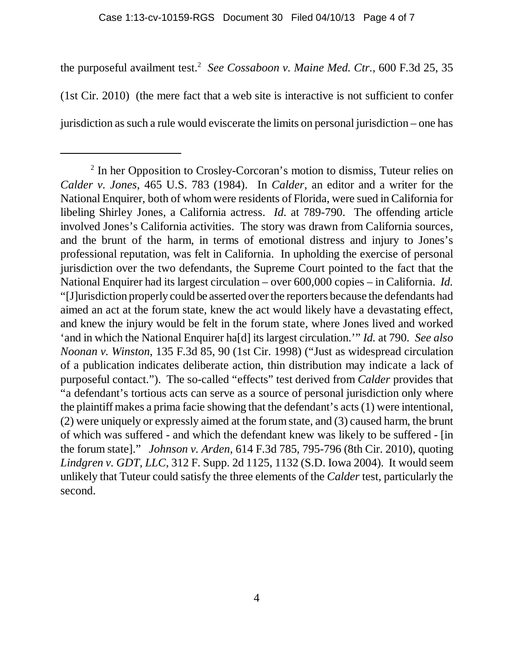the purposeful availment test.<sup>2</sup> See Cossaboon v. Maine Med. Ctr., 600 F.3d 25, 35 (1st Cir. 2010) (the mere fact that a web site is interactive is not sufficient to confer jurisdiction as such a rule would eviscerate the limits on personal jurisdiction – one has

<sup>&</sup>lt;sup>2</sup> In her Opposition to Crosley-Corcoran's motion to dismiss, Tuteur relies on *Calder v. Jones*, 465 U.S. 783 (1984). In *Calder*, an editor and a writer for the National Enquirer, both of whom were residents of Florida, were sued in California for libeling Shirley Jones, a California actress. *Id*. at 789-790. The offending article involved Jones's California activities. The story was drawn from California sources, and the brunt of the harm, in terms of emotional distress and injury to Jones's professional reputation, was felt in California. In upholding the exercise of personal jurisdiction over the two defendants, the Supreme Court pointed to the fact that the National Enquirer had its largest circulation – over 600,000 copies – in California. *Id.* "[J]urisdiction properly could be asserted over the reporters because the defendants had aimed an act at the forum state, knew the act would likely have a devastating effect, and knew the injury would be felt in the forum state, where Jones lived and worked 'and in which the National Enquirer ha[d] its largest circulation.'" *Id.* at 790. *See also Noonan v. Winston*, 135 F.3d 85, 90 (1st Cir. 1998) ("Just as widespread circulation of a publication indicates deliberate action, thin distribution may indicate a lack of purposeful contact."). The so-called "effects" test derived from *Calder* provides that "a defendant's tortious acts can serve as a source of personal jurisdiction only where the plaintiff makes a prima facie showing that the defendant's acts (1) were intentional, (2) were uniquely or expressly aimed at the forum state, and (3) caused harm, the brunt of which was suffered - and which the defendant knew was likely to be suffered - [in the forum state]." *Johnson v. Arden*, 614 F.3d 785, 795-796 (8th Cir. 2010), quoting *Lindgren v. GDT, LLC*, 312 F. Supp. 2d 1125, 1132 (S.D. Iowa 2004). It would seem unlikely that Tuteur could satisfy the three elements of the *Calder* test, particularly the second.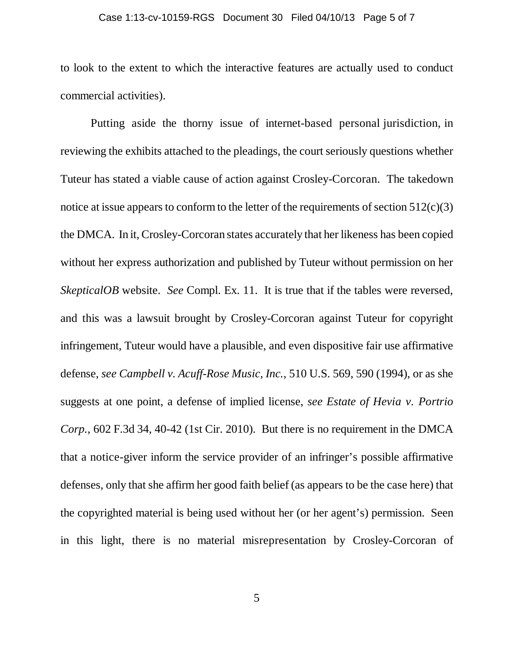#### Case 1:13-cv-10159-RGS Document 30 Filed 04/10/13 Page 5 of 7

to look to the extent to which the interactive features are actually used to conduct commercial activities).

 Putting aside the thorny issue of internet-based personal jurisdiction, in reviewing the exhibits attached to the pleadings, the court seriously questions whether Tuteur has stated a viable cause of action against Crosley-Corcoran. The takedown notice at issue appears to conform to the letter of the requirements of section  $512(c)(3)$ the DMCA. In it, Crosley-Corcoran states accurately that her likeness has been copied without her express authorization and published by Tuteur without permission on her *SkepticalOB* website. *See* Compl. Ex. 11. It is true that if the tables were reversed, and this was a lawsuit brought by Crosley-Corcoran against Tuteur for copyright infringement, Tuteur would have a plausible, and even dispositive fair use affirmative defense, *see Campbell v. Acuff-Rose Music, Inc.*, 510 U.S. 569, 590 (1994), or as she suggests at one point, a defense of implied license, *see Estate of Hevia v. Portrio Corp.*, 602 F.3d 34, 40-42 (1st Cir. 2010). But there is no requirement in the DMCA that a notice-giver inform the service provider of an infringer's possible affirmative defenses, only that she affirm her good faith belief (as appears to be the case here) that the copyrighted material is being used without her (or her agent's) permission. Seen in this light, there is no material misrepresentation by Crosley-Corcoran of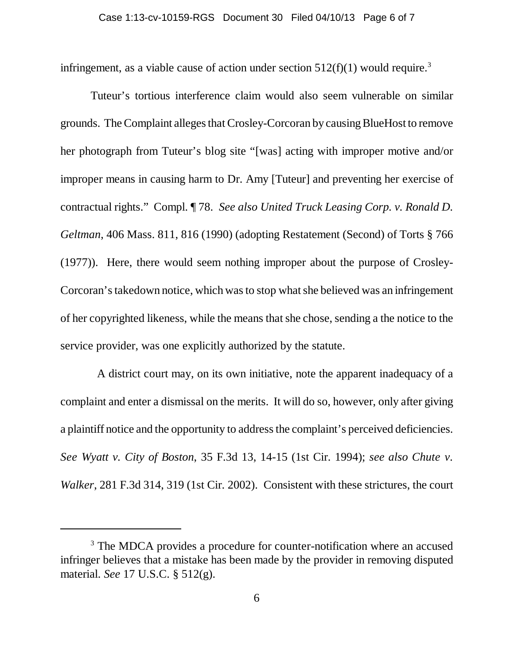infringement, as a viable cause of action under section  $512(f)(1)$  would require.<sup>3</sup>

Tuteur's tortious interference claim would also seem vulnerable on similar grounds. The Complaint alleges that Crosley-Corcoran by causing BlueHost to remove her photograph from Tuteur's blog site "[was] acting with improper motive and/or improper means in causing harm to Dr. Amy [Tuteur] and preventing her exercise of contractual rights." Compl. ¶ 78. *See also United Truck Leasing Corp. v. Ronald D. Geltman*, 406 Mass. 811, 816 (1990) (adopting Restatement (Second) of Torts § 766 (1977)). Here, there would seem nothing improper about the purpose of Crosley-Corcoran's takedown notice, which was to stop what she believed was an infringement of her copyrighted likeness, while the means that she chose, sending a the notice to the service provider, was one explicitly authorized by the statute.

 A district court may, on its own initiative, note the apparent inadequacy of a complaint and enter a dismissal on the merits. It will do so, however, only after giving a plaintiff notice and the opportunity to address the complaint's perceived deficiencies. *See Wyatt v. City of Boston*, 35 F.3d 13, 14-15 (1st Cir. 1994); *see also Chute v. Walker*, 281 F.3d 314, 319 (1st Cir. 2002). Consistent with these strictures, the court

<sup>&</sup>lt;sup>3</sup> The MDCA provides a procedure for counter-notification where an accused infringer believes that a mistake has been made by the provider in removing disputed material. *See* 17 U.S.C. § 512(g).